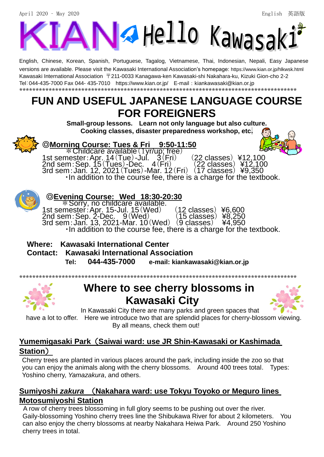April 2020 – May 2020 English 英語版



English, Chinese, Korean, Spanish, Portuguese, Tagalog, Vietnamese, Thai, Indonesian, Nepali, Easy Japanese versions are available. Please visit the Kawasaki International Association's homepage: <https://www.kian.or.jp/hlkwsk.html> Kawasaki International Association 〒211-0033 Kanagawa-ken Kawasaki-shi Nakahara-ku, Kizuki Gion-cho 2-2 Tel:044-435-7000 Fax 044- 435-7010 <https://www.kian.or.jp/>E-mail:kiankawasaki@kian.or.jp \*\*\*\*\*\*\*\*\*\*\*\*\*\*\*\*\*\*\*\*\*\*\*\*\*\*\*\*\*\*\*\*\*\*\*\*\*\*\*\*\*\*\*\*\*\*\*\*\*\*\*\*\*\*\*\*\*\*\*\*\*\*\*\*\*\*\*\*\*\*\*\*\*\*\*\*\*\*\*\*\*\*\*\*\*

# **FUN AND USEFUL JAPANESE LANGUAGE COURSE FOR FOREIGNERS**

**Small-group lessons. Learn not only language but also culture. Cooking classes, disaster preparedness workshop, etc.**



#### ◎**Morning Course: Tues & Fri 9:50-11:50**

\*\*Childcare available (1yr/up; free)<br>nester: Apr. 14 (Tue) -Jul. 3 (Fri) 1st semester:Apr. 14 (Tue)-Jul. 3 (Fri) (22 classes) ¥12,100 2nd sem: Sep.  $15(Tues)$ -Dec.  $4(Fri)$  (22 classes) ¥12,100 3rd sem:Jan. 12, 2021(Tues)-Mar. 12(Fri) (17 classes) ¥9,350 ・In addition to the course fee, there is a charge for the textbook.

### ◎**Evening Course: Wed 18:30-20:30**

\*Sorry, no childcare available. 1st semester:Apr. 15-Jul. 15(Wed) (12 classes) ¥6,600 2nd sem:Sep. 2-Dec. 9(Wed) (15 classes) ¥8,250 3rd sem:Jan. 13, 2021-Mar. 10(Wed) (9 classes) ¥4,950 n : Jan. 13, 2021-Mar. 10 (Wed) (9 classes) ¥4,950<br>•In addition to the course fee, there is a charge for the textbook.

#### **Where: Kawasaki International Center**

**Contact: Kawasaki International Association**

 **Tel: 044-435-7000 e-mail: kiankawasaki@kian.or.jp**

\*\*\*\*\*\*\*\*\*\*\*\*\*\*\*\*\*\*\*\*\*\*\*\*\*\*\*\*\*\*\*\*\*\*\*\*\*\*\*\*\*\*\*\*\*\*\*\*\*\*\*\*\*\*\*\*\*\*\*\*\*\*\*\*\*\*\*\*\*\*\*\*\*\*\*\*\*\*\*\*\*\*\*\*\*



# **Where to see cherry blossoms in Kawasaki City**



In Kawasaki City there are many parks and green spaces that

have a lot to offer. Here we introduce two that are splendid places for cherry-blossom viewing. By all means, check them out!

### **Yumemigasaki Park**(**Saiwai ward: use JR Shin-Kawasaki or Kashimada Station**)

Cherry trees are planted in various places around the park, including inside the zoo so that you can enjoy the animals along with the cherry blossoms. Around 400 trees total. Types: Yoshino cherry, *Yamazakura*, and others.

### **Sumiyoshi** *zakura* (**Nakahara ward: use Tokyu Toyoko or Meguro lines Motosumiyoshi Station**

A row of cherry trees blossoming in full glory seems to be pushing out over the river. Gaily-blossoming Yoshino cherry trees line the Shibukawa River for about 2 kilometers. You can also enjoy the cherry blossoms at nearby Nakahara Heiwa Park. Around 250 Yoshino cherry trees in total.